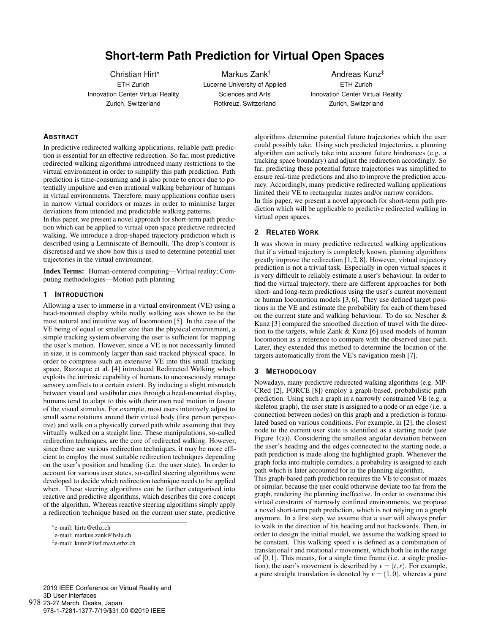# **Short-term Path Prediction for Virtual Open Spaces**

Christian Hirt\* ETH Zurich Innovation Center Virtual Reality Zurich, Switzerland

Markus Zank† Lucerne University of Applied Sciences and Arts Rotkreuz, Switzerland

Andreas Kunz‡ ETH Zurich Innovation Center Virtual Reality Zurich, Switzerland

## **ABSTRACT**

In predictive redirected walking applications, reliable path prediction is essential for an effective redirection. So far, most predictive redirected walking algorithms introduced many restrictions to the virtual environment in order to simplify this path prediction. Path prediction is time-consuming and is also prone to errors due to potentially impulsive and even irrational walking behaviour of humans in virtual environments. Therefore, many applications confine users in narrow virtual corridors or mazes in order to minimise larger deviations from intended and predictable walking patterns.

In this paper, we present a novel approach for short-term path prediction which can be applied to virtual open space predictive redirected walking. We introduce a drop-shaped trajectory prediction which is described using a Lemniscate of Bernoulli. The drop's contour is discretised and we show how this is used to determine potential user trajectories in the virtual environment.

Index Terms: Human-centered computing—Virtual reality; Computing methodologies—Motion path planning

# **1 INTRODUCTION**

Allowing a user to immerse in a virtual environment (VE) using a head-mounted display while really walking was shown to be the most natural and intuitive way of locomotion [5]. In the case of the VE being of equal or smaller size than the physical environment, a simple tracking system observing the user is sufficient for mapping the user's motion. However, since a VE is not necessarily limited in size, it is commonly larger than said tracked physical space. In order to compress such an extensive VE into this small tracking space, Razzaque et al. [4] introduced Redirected Walking which exploits the intrinsic capability of humans to unconsciously manage sensory conflicts to a certain extent. By inducing a slight mismatch between visual and vestibular cues through a head-mounted display, humans tend to adapt to this with their own real motion in favour of the visual stimulus. For example, most users intuitively adjust to small scene rotations around their virtual body (first person perspective) and walk on a physically curved path while assuming that they virtually walked on a straight line. These manipulations, so-called redirection techniques, are the core of redirected walking. However, since there are various redirection techniques, it may be more efficient to employ the most suitable redirection techniques depending on the user's position and heading (i.e. the user state). In order to account for various user states, so-called steering algorithms were developed to decide which redirection technique needs to be applied when. These steering algorithms can be further categorised into reactive and predictive algorithms, which describes the core concept of the algorithm. Whereas reactive steering algorithms simply apply a redirection technique based on the current user state, predictive

978-1-7281-1377-7/19/\$31.00 ©2019 IEEE

algorithms determine potential future trajectories which the user could possibly take. Using such predicted trajectories, a planning algorithm can actively take into account future hindrances (e.g. a tracking space boundary) and adjust the redirection accordingly. So far, predicting these potential future trajectories was simplified to ensure real-time predictions and also to improve the prediction accuracy. Accordingly, many predictive redirected walking applications limited their VE to rectangular mazes and/or narrow corridors. In this paper, we present a novel approach for short-term path prediction which will be applicable to predictive redirected walking in virtual open spaces.

# **2 RELATED WORK**

It was shown in many predictive redirected walking applications that if a virtual trajectory is completely known, planning algorithms greatly improve the redirection [1, 2, 8]. However, virtual trajectory prediction is not a trivial task. Especially in open virtual spaces it is very difficult to reliably estimate a user's behaviour. In order to find the virtual trajectory, there are different approaches for both short- and long-term predictions using the user's current movement or human locomotion models [3, 6]. They use defined target positions in the VE and estimate the probability for each of them based on the current state and walking behaviour. To do so, Nescher & Kunz [3] compared the smoothed direction of travel with the direction to the targets, while Zank & Kunz [6] used models of human locomotion as a reference to compare with the observed user path. Later, they extended this method to determine the location of the targets automatically from the VE's navigation mesh [7].

#### **3 METHODOLOGY**

Nowadays, many predictive redirected walking algorithms (e.g. MP-CRed [2], FORCE [8]) employ a graph-based, probabilistic path prediction. Using such a graph in a narrowly constrained VE (e.g. a skeleton graph), the user state is assigned to a node or an edge (i.e. a connection between nodes) on this graph and a prediction is formulated based on various conditions. For example, in [2], the closest node to the current user state is identified as a starting node (see Figure 1(a)). Considering the smallest angular deviation between the user's heading and the edges connected to the starting node, a path prediction is made along the highlighted graph. Whenever the graph forks into multiple corridors, a probability is assigned to each path which is later accounted for in the planning algorithm.

This graph-based path prediction requires the VE to consist of mazes or similar, because the user could otherwise deviate too far from the graph, rendering the planning ineffective. In order to overcome this virtual constraint of narrowly confined environments, we propose a novel short-term path prediction, which is not relying on a graph anymore. In a first step, we assume that a user will always prefer to walk in the direction of his heading and not backwards. Then, in order to design the initial model, we assume the walking speed to be constant. This walking speed  $\nu$  is defined as a combination of translational *t* and rotational *r* movement, which both lie in the range of [0,1]. This means, for a single time frame (i.e. a single prediction), the user's movement is described by  $v = (t, r)$ . For example, a pure straight translation is denoted by  $v = (1,0)$ , whereas a pure

<sup>\*</sup>e-mail: hirtc@ethz.ch

<sup>†</sup>e-mail: markus.zank@hslu.ch

<sup>‡</sup>e-mail: kunz@iwf.mavt.ethz.ch